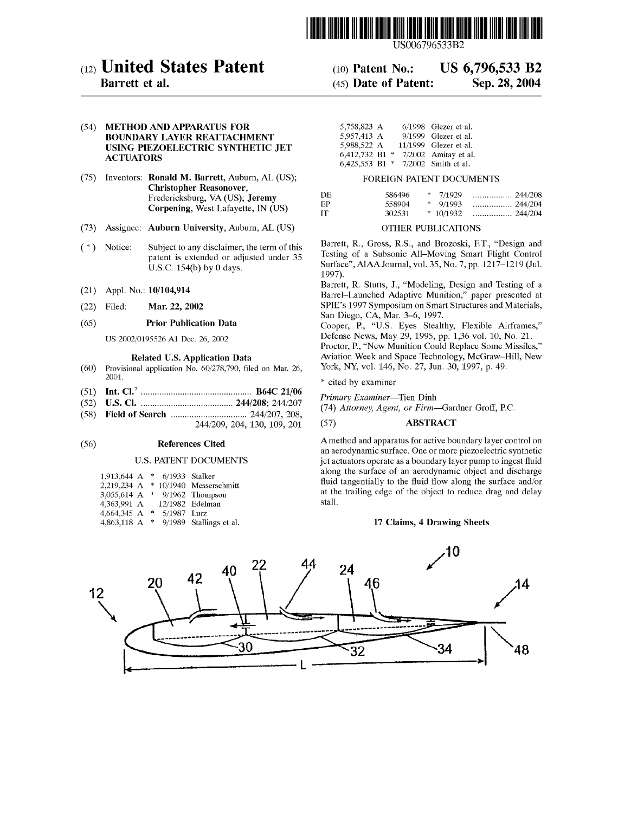

US006796533B2

# (12) United States Patent

# Barrett et al.

# (54) METHOD AND APPARATUS FOR BOUNDARY LAYER REATTACHMENT USING PIEZOELECTRIC SYNTHETIC JET **ACTUATORS**

- (75) Inventors: Ronald M. Barrett, Auburn, AL (US); Christopher Reasonover, Fredericksburg, VA (US); Jeremy Corpening, West Lafayette, IN (US)
- (73) Assignee: Auburn University, Auburn, AL (US)
- ( \* ) Notice: Subject to any disclaimer, the term of this patent is extended or adjusted under 35 U.S.C. 154(b) by 0 days.
- (21) Appl. No.: 10/104,914
- (22) Filed: Mar. 22, 2002

# (65) Prior Publication Data

US 2002/0195526 A1 Dec. 26, 2002

#### Related US. Application Data

- (60) Provisional application No.  $60/278,790$ , filed on Mar. 26, 2001.
- (51) Int. Cl.7 .............................................. .. B64C 21/06
- (52) US. Cl. ...................................... .. 244/208; 244/207
- (58) Field of Search ............................... .. 244/207, 208,
	- 244/209, 204, 130, 109, 201

### (56) References Cited

## U.S. PATENT DOCUMENTS

| 1,913,644 A |    | * 6/1933 Stalker |                         |
|-------------|----|------------------|-------------------------|
| 2,219,234 A |    |                  | * 10/1940 Messerschmitt |
| 3,055,614 A | *. |                  | $9/1962$ Thompson       |
| 4,363,991 A |    |                  | 12/1982 Edelman         |
| 4,664,345 A | ÷  | 5/1987 Lurz      |                         |
| 4,863,118 A | *  |                  | 9/1989 Stallings et al. |

# (10) Patent N0.: US 6,796,533 B2

#### (45) Date of Patent: Sep. 28, 2004

| 5,758,823 A        |               | 6/1998 Glezer et al.  |
|--------------------|---------------|-----------------------|
| 5,957,413 A        |               | 9/1999 Glezer et al.  |
| 5,988,522 A        |               | 11/1999 Glezer et al. |
| 6,412,732 B1       | $\Rightarrow$ | 7/2002 Amitay et al.  |
| $6,425,553$ B1 $*$ |               | 7/2002 Smith et al.   |

#### FOREIGN PATENT DOCUMENTS

| DF. | 586496 | $*$ 7/1929 | 244/208 |
|-----|--------|------------|---------|
| FР  | 558904 | * $9/1993$ |         |
| IТ  | 302531 |            |         |

# OTHER PUBLICATIONS

Barrett, R., Gross, R.S., and Brozoski, F.T., "Design and Testing of a Subsonic All—Moving Smart Flight Control Surface", AIAA Journal, vol. 35, No. 7, pp. 1217—1219 (Jul. 1997).

Barrett, R. Stutts, 1., "Modeling, Design and Testing of a Barrel—Launched Adaptive Munition," paper presented at SPIE's 1997 Symposium on Smart Structures and Materials, San Diego, CA, Mar. 3—6, 1997.

Cooper, P., "U.S. Eyes Stealthy, Flexible Airframes," Defense NeWs, May 29, 1995, pp. 1,36 vol. 10, No. 21. Proctor, P., "New Munition Could Replace Some Missiles," Aviation Week and Space Technology, McGraW—Hill, NeW York, NY, vol. 146, No. 27, Jun. 30, 1997, p. 49.

\* cited by examiner

Primary Examiner—Tien Dinh

(74) Attorney, Agent, or Firm—Gardner Groff, PC.

# (57) ABSTRACT

Amethod and apparatus for active boundary layer control on an aerodynamic surface. One or more piezoelectric synthetic jet actuators operate as a boundary layer pump to ingest fluid along the surface of an aerodynamic object and discharge fluid tangentially to the fluid flow along the surface and/or at the trailing edge of the object to reduce drag and delay stall.

## 17 Claims, 4 Drawing Sheets

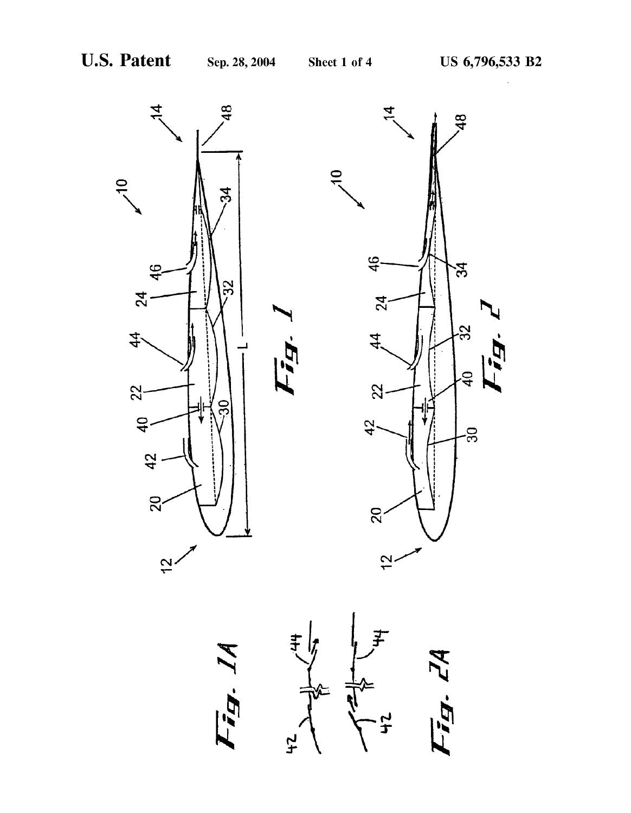





 $\mathbf{t}$ 



ig. L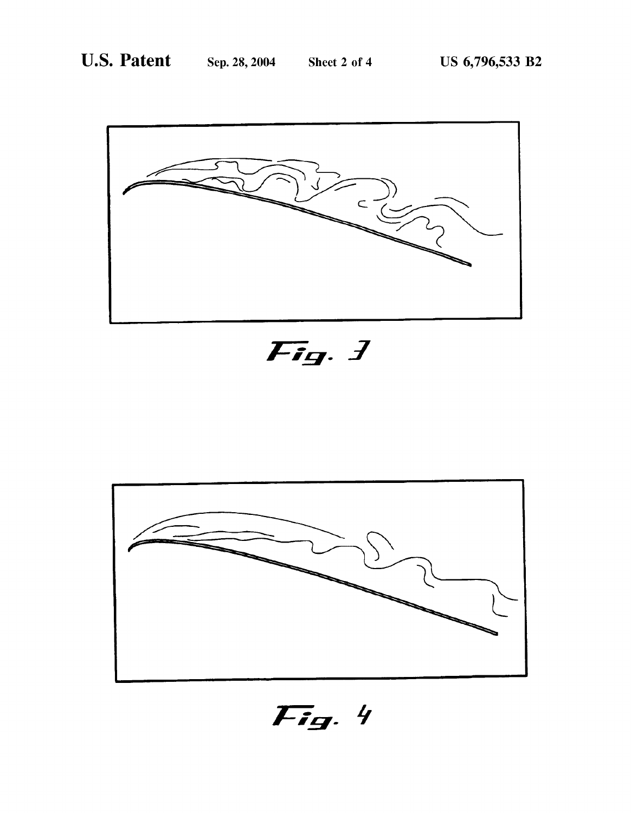

Fig. 1



Fig. 4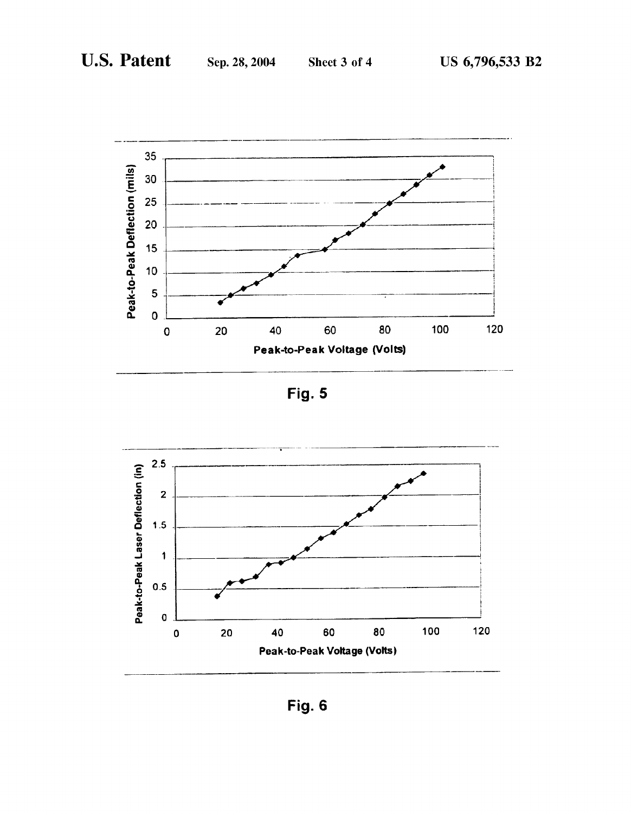

Fig. 5



Fig. 6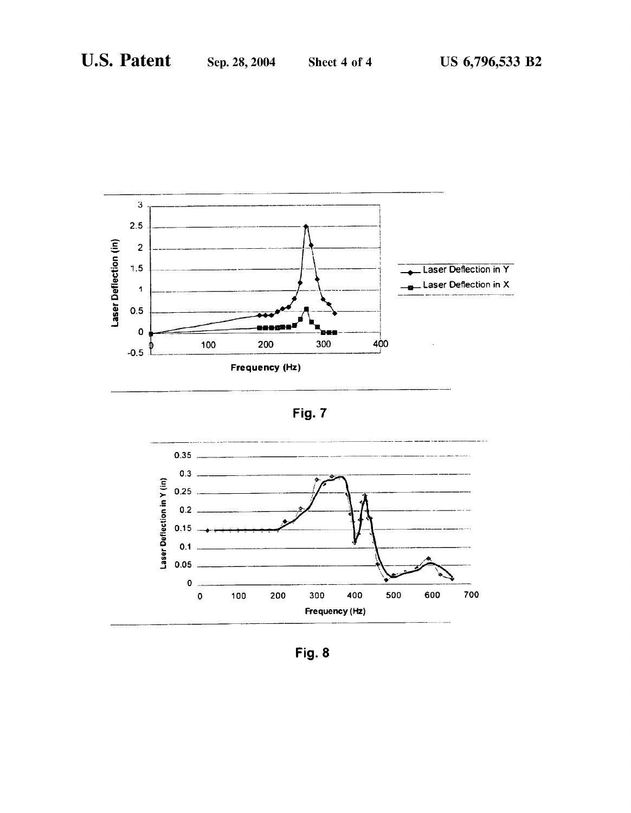





Fig. 8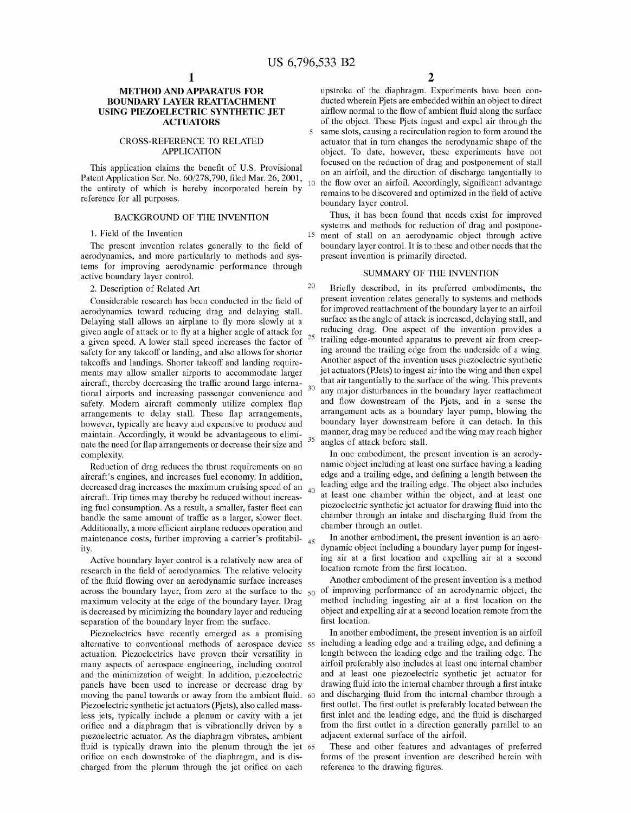$\overline{\phantom{0}}$ 

20

30

# METHOD AND APPARATUS FOR BOUNDARY LAYER REATTACHMENT USING PIEZOELECTRIC SYNTHETIC JET ACTUATORS

#### CROSS-REFERENCE TO RELATED APPLICATION

This application claims the benefit of U.S. Provisional Patent Application Ser. No. 60/278,790, filed Mar. 26, 2001, the entirety of Which is hereby incorporated herein by reference for all purposes. 10

## BACKGROUND OF THE INVENTION

#### 1. Field of the Invention

The present invention relates generally to the field of aerodynamics, and more particularly to methods and sys tems for improving aerodynamic performance through active boundary layer control.

#### 2. Description of Related Art

Considerable research has been conducted in the field of aerodynamics toWard reducing drag and delaying stall. Delaying stall allows an airplane to fly more slowly at a given angle of attack or to fly at a higher angle of attack for given angle of attack of to hy at a higher angle of attack for  $25$ <br>a given speed. A lower stall speed increases the factor of safety for any takeoff or landing, and also allows for shorter takeoffs and landings. Shorter takeoff and landing require ments may alloW smaller airports to accommodate larger aircraft, thereby decreasing the traffic around large international airports and increasing passenger convenience and safety. Modern aircraft commonly utilize complex flap arrangements to delay stall. These flap arrangements, hoWever, typically are heavy and expensive to produce and maintain. Accordingly, it Would be advantageous to elimi 35 nate the need for flap arrangements or decrease their size and complexity.

Reduction of drag reduces the thrust requirements on an aircraft's engines, and increases fuel economy. In addition, decreased drag increases the maximum cruising speed of an 40 aircraft. Trip times may thereby be reduced Without increas ing fuel consumption. As a result, a smaller, faster fleet can handle the same amount of traffic as a larger, slower fleet. Additionally, a more efficient airplane reduces operation and maintenance costs, further improving a carrier's profitabil- <sub>45</sub> ity.

Active boundary layer control is a relatively new area of research in the field of aerodynamics. The relative velocity of the fluid flowing over an aerodynamic surface increases across the boundary layer, from zero at the surface to the  $50$ maximum velocity at the edge of the boundary layer. Drag is decreased by minimizing the boundary layer and reducing separation of the boundary layer from the surface.

PieZoelectrics have recently emerged as a promising alternative to conventional methods of aerospace device 55 including a leading edge and a trailing edge, and defining a actuation. PieZoelectrics have proven their versatility in many aspects of aerospace engineering, including control and the minimization of weight. In addition, piezoelectric panels have been used to increase or decrease drag by moving the panel towards or away from the ambient fluid. 60 PieZoelectric synthetic jet actuators (Pjets), also called mass less jets, typically include a plenum or cavity With a jet orifice and a diaphragm that is vibrationally driven by a pieZoelectric actuator. As the diaphragm vibrates, ambient fluid is typically drawn into the plenum through the jet 65 orifice on each downstroke of the diaphragm, and is discharged from the plenum through the jet orifice on each

upstroke of the diaphragm. Experiments have been con ducted wherein Pjets are embedded within an object to direct airflow normal to the flow of ambient fluid along the surface of the object. These Pjets ingest and expel air through the same slots, causing a recirculation region to form around the actuator that in turn changes the aerodynamic shape of the object. To date, hoWever, these experiments have not focused on the reduction of drag and postponement of stall on an airfoil, and the direction of discharge tangentially to the flow over an airfoil. Accordingly, significant advantage remains to be discovered and optimized in the field of active boundary layer control.

15 ment of stall on an aerodynamic object through active Thus, it has been found that needs exist for improved systems and methods for reduction of drag and postpone boundary layer control. It is to these and other needs that the present invention is primarily directed.

#### SUMMARY OF THE INVENTION

Briefly described, in its preferred embodiments, the present invention relates generally to systems and methods for improved reattachment of the boundary layer to an airfoil surface as the angle of attack is increased, delaying stall, and reducing drag. One aspect of the invention provides a trailing edge-mounted apparatus to prevent air from creep ing around the trailing edge from the underside of a Wing. Another aspect of the invention uses pieZoelectric synthetic jet actuators (PJets) to ingest air into the Wing and then expel that air tangentially to the surface of the Wing. This prevents any major disturbances in the boundary layer reattachment and How doWnstream of the Pjets, and in a sense the arrangement acts as a boundary layer pump, bloWing the boundary layer doWnstream before it can detach. In this manner, drag may be reduced and the Wing may reach higher angles of attack before stall.

In one embodiment, the present invention is an aerody namic object including at least one surface having a leading edge and a trailing edge, and defining a length between the leading edge and the trailing edge. The object also includes at least one chamber Within the object, and at least one piezoelectric synthetic jet actuator for drawing fluid into the chamber through an intake and discharging fluid from the chamber through an outlet.

In another embodiment, the present invention is an aero dynamic object including a boundary layer pump for ingest ing air at a first location and expelling air at a second location remote from the first location.

Another embodiment of the present invention is a method of improving performance of an aerodynamic object, the method including ingesting air at a first location on the object and expelling air at a second location remote from the first location.

In another embodiment, the present invention is an airfoil length between the leading edge and the trailing edge. The airfoil preferably also includes at least one internal chamber and at least one pieZoelectric synthetic jet actuator for drawing fluid into the internal chamber through a first intake and discharging fluid from the internal chamber through a first outlet. The first outlet is preferably located between the first inlet and the leading edge, and the fluid is discharged from the first outlet in a direction generally parallel to an adjacent external surface of the airfoil.

These and other features and advantages of preferred forms of the present invention are described herein With reference to the drawing figures.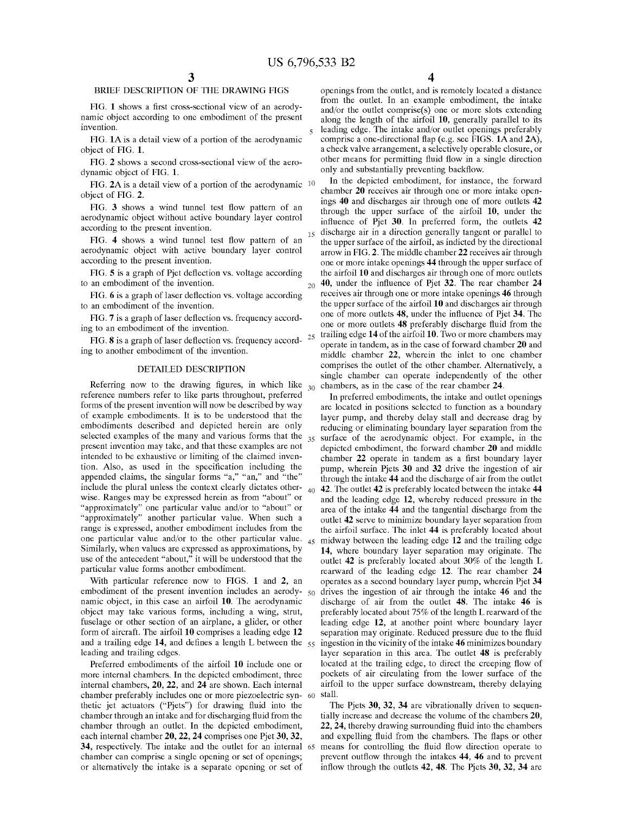$20<sup>°</sup>$ 

# BRIEF DESCRIPTION OF THE DRAWING FIGS

FIG. 1 shows a first cross-sectional view of an aerodynamic object according to one embodiment of the present invention.

FIG. 1A is a detail vieW of a portion of the aerodynamic object of FIG. 1.

FIG. 2 shows a second cross-sectional view of the aerodynamic object of FIG. 1.

FIG. 2A is a detail view of a portion of the aerodynamic <sup>10</sup> object of FIG. 2.

FIG. 3 shows a wind tunnel test flow pattern of an aerodynamic object Without active boundary layer control according to the present invention.

FIG. 4 shows a wind tunnel test flow pattern of an aerodynamic object With active boundary layer control according to the present invention. 15

FIG. 5 is a graph of Pjet deflection vs. voltage according to an embodiment of the invention.

FIG. 6 is a graph of laser deflection vs. voltage according to an embodiment of the invention.

FIG. 7 is a graph of laser deflection vs. frequency according to an embodiment of the invention.

FIG. 8 is a graph of laser deflection vs. frequency accord-  $25$ ing to another embodiment of the invention.

#### DETAILED DESCRIPTION

Referring now to the drawing figures, in which like  $_{30}$  chambers, as in the case of the rear chamber 24. reference numbers refer to like parts throughout, preferred forms of the present invention Will noW be described by Way of example embodiments. It is to be understood that the embodiments described and depicted herein are only selected examples of the many and various forms that the  $_{35}$ present invention may take, and that these examples are not intended to be exhaustive or limiting of the claimed inven tion. Also, as used in the specification including the appended claims, the singular forms "a," "an," and "the" include the plural unless the context clearly dictates other  $_{40}$ Wise. Ranges may be expressed herein as from "about" or "approximately" one particular value and/or to "about" or "approximately" another particular value. When such a range is expressed, another embodiment includes from the one particular value and/or to the other particular value. 45 Similarly, When values are expressed as approximations, by use of the antecedent "about," it Will be understood that the particular value forms another embodiment.

With particular reference now to FIGS. 1 and 2, an embodiment of the present invention includes an aerody-  $50$ namic object, in this case an airfoil 10. The aerodynamic object may take various forms, including a Wing, strut, fuselage or other section of an airplane, a glider, or other form of aircraft. The airfoil 10 comprises a leading edge 12 and a trailing edge 14, and defines a length L between the  $55$ leading and trailing edges.

Preferred embodiments of the airfoil 10 include one or more internal chambers. In the depicted embodiment, three internal chambers, 20, 22, and 24 are shown. Each internal chamber preferably includes one or more pieZoelectric syn thetic jet actuators ("Pjets") for drawing fluid into the chamber through an intake and for discharging fluid from the chamber through an outlet. In the depicted embodiment, each internal chamber 20, 22, 24 comprises one Pjet 30, 32, 34, respectively. The intake and the outlet for an internal 65 chamber can comprise a single opening or set of openings; or alternatively the intake is a separate opening or set of

4

openings from the outlet, and is remotely located a distance from the outlet. In an example embodiment, the intake and/or the outlet comprise(s) one or more slots extending along the length of the airfoil 10, generally parallel to its leading edge. The intake and/or outlet openings preferably comprise a one-directional flap (e.g. see FIGS. 1A and 2A), a check valve arrangement, a selectively operable closure, or other means for permitting fluid flow in a single direction only and substantially preventing backflow.

In the depicted embodiment, for instance, the forward chamber 20 receives air through one or more intake open ings 40 and discharges air through one of more outlets 42 through the upper surface of the airfoil 10, under the influence of Pjet 30. In preferred form, the outlets 42 discharge air in a direction generally tangent or parallel to the upper surface of the airfoil, as indicted by the directional arroW in FIG. 2. The middle chamber 22 receives air through one or more intake openings 44 through the upper surface of the airfoil 10 and discharges air through one of more outlets 40, under the influence of Pjet 32. The rear chamber 24 receives air through one or more intake openings 46 through the upper surface of the airfoil 10 and discharges air through one of more outlets 48, under the influence of Pjet 34. The one or more outlets 48 preferably discharge fluid from the trailing edge 14 of the airfoil 10. TWo or more chambers may operate in tandem, as in the case of forward chamber 20 and middle chamber 22, Wherein the inlet to one chamber comprises the outlet of the other chamber. Alternatively, a single chamber can operate independently of the other

In preferred embodiments, the intake and outlet openings are located in positions selected to function as a boundary layer pump, and thereby delay stall and decrease drag by reducing or eliminating boundary layer separation from the surface of the aerodynamic object. For example, in the depicted embodiment, the forward chamber 20 and middle chamber 22 operate in tandem as a first boundary layer pump, Wherein Pjets 30 and 32 drive the ingestion of air through the intake 44 and the discharge of air from the outlet 42. The outlet 42 is preferably located between the intake 44 and the leading edge 12, whereby reduced pressure in the area of the intake 44 and the tangential discharge from the outlet 42 serve to minimize boundary layer separation from the airfoil surface. The inlet 44 is preferably located about midWay betWeen the leading edge 12 and the trailing edge 14, Where boundary layer separation may originate. The outlet 42 is preferably located about 30% of the length L rearward of the leading edge 12. The rear chamber 24 operates as a second boundary layer pump, Wherein Pjet 34 drives the ingestion of air through the intake 46 and the discharge of air from the outlet 48. The intake 46 is preferably located about 75% of the length L rearward of the leading edge 12, at another point Where boundary layer separation may originate. Reduced pressure due to the fluid ingestion in the vicinity of the intake 46 minimizes boundary layer separation in this area. The outlet 48 is preferably located at the trailing edge, to direct the creeping flow of pockets of air circulating from the loWer surface of the airfoil to the upper surface doWnstream, thereby delaying stall.

The Pjets 30, 32, 34 are vibrationally driven to sequentially increase and decrease the volume of the chambers 20, 22, 24, thereby drawing surrounding fluid into the chambers and expelling fluid from the chambers. The flaps or other means for controlling the fluid flow direction operate to prevent outflow through the intakes 44, 46 and to prevent inflow through the outlets  $42$ ,  $48$ . The Pjets  $30$ ,  $32$ ,  $34$  are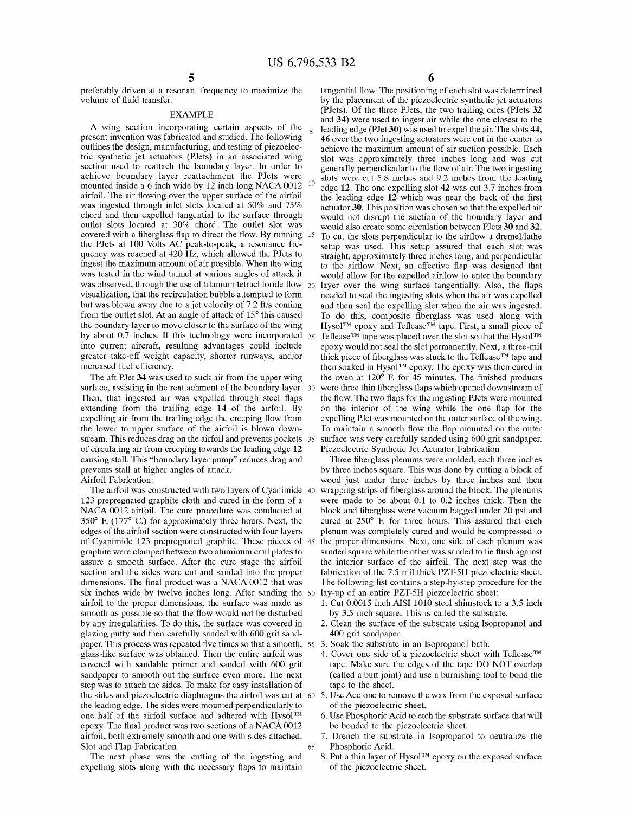preferably driven at a resonant frequency to maximize the volume of fluid transfer.

#### EXAMPLE

A Wing section incorporating certain aspects of the present invention Was fabricated and studied. The following outlines the design, manufacturing, and testing of pieZoelec tric synthetic jet actuators (PJets) in an associated Wing section used to reattach the boundary layer. In order to achieve boundary layer reattachment the PJets Were mounted inside a 6 inch wide by 12 inch long NACA 0012 <sup>10</sup> airfoil. The air flowing over the upper surface of the airfoil Was ingested through inlet slots located at 50% and 75% chord and then expelled tangential to the surface through outlet slots located at 30% chord. The outlet slot Was covered with a fiberglass flap to direct the flow. By running 15 the PJets at 100 Volts AC peak-to-peak, a resonance fre quency Was reached at 420 HZ, Which alloWed the PJets to ingest the maximum amount of air possible. When the Wing Was tested in the Wind tunnel at various angles of attack it was observed, through the use of titanium tetrachloride flow  $_{20}$ visualiZation, that the recirculation bubble attempted to form but Was bloWn aWay due to a jet velocity of 7.2 ft/s coming from the outlet slot. At an angle of attack of 15° this caused the boundary layer to move closer to the surface of the Wing by about 0.7 inches. If this technology were incorporated  $_{25}$ into current aircraft, resulting advantages could include greater take-off Weight capacity, shorter runWays, and/or increased fuel efficiency.

The aft PJet 34 was used to suck air from the upper wing surface, assisting in the reattachment of the boundary layer. 30 Then, that ingested air was expelled through steel flaps extending from the trailing edge 14 of the airfoil. By expelling air from the trailing edge the creeping flow from the lower to upper surface of the airfoil is blown downstream. This reduces drag on the airfoil and prevents pockets 35 of circulating air from creeping toWards the leading edge 12 causing stall. This "boundary layer pump" reduces drag and prevents stall at higher angles of attack.

Airfoil Fabrication:

The airfoil Was constructed With tWo layers of Cyanimide 40 123 prepregnated graphite cloth and cured in the form of a NACA 0012 airfoil. The cure procedure was conducted at 350° F. (177° C.) for approximately three hours. Next, the edges of the airfoil section Were constructed With four layers of Cyanimide 123 prepregnated graphite. These pieces of graphite Were clamped betWeen tWo aluminum caul plates to assure a smooth surface. After the cure stage the airfoil section and the sides Were cut and sanded into the proper dimensions. The final product was a NACA 0012 that was six inches Wide by tWelve inches long. After sanding the 50 airfoil to the proper dimensions, the surface Was made as smooth as possible so that the How Would not be disturbed by any irregularities. To do this, the surface Was covered in glaZing putty and then carefully sanded With 600 grit sand paper. This process was repeated five times so that a smooth,  $55\,$  3. Soak the substrate in an Isopropanol bath. glass-like surface Was obtained. Then the entire airfoil Was covered With sandable primer and sanded With 600 grit sandpaper to smooth out the surface even more. The next step Was to attach the sides. To make for easy installation of the sides and pieZoelectric diaphragms the airfoil Was cut at 60 5. Use Acetone to remove the Wax from the exposed surface the leading edge. The sides Were mounted perpendicularly to one half of the airfoil surface and adhered with Hysol™ epoxy. The final product was two sections of a NACA 0012 airfoil, both extremely smooth and one With sides attached. Slot and Flap Fabrication 65

The next phase Was the cutting of the ingesting and expelling slots along with the necessary flaps to maintain tangential flow. The positioning of each slot was determined by the placement of the pieZoelectric synthetic jet actuators (PJets). Of the three PJets, the tWo trailing ones (PJets 32 and 34) Were used to ingest air While the one closest to the leading edge (PJet 30) Was used to expel the air. The slots 44, 46 over the tWo ingesting actuators Were cut in the center to achieve the maximum amount of air suction possible. Each slot Was approximately three inches long and Was cut generally perpendicular to the flow of air. The two ingesting slots Were cut 5.8 inches and 9.2 inches from the leading edge 12. The one expelling slot 42 Was cut 3.7 inches from the leading edge 12 which was near the back of the first actuator 30. This position Was chosen so that the expelled air Would not disrupt the suction of the boundary layer and Would also create some circulation betWeen PJets 30 and 32. To cut the slots perpendicular to the airflow a dremel/lathe setup Was used. This setup assured that each slot Was straight, approximately three inches long, and perpendicular to the airflow. Next, an effective flap was designed that would allow for the expelled airflow to enter the boundary layer over the wing surface tangentially. Also, the flaps needed to seal the ingesting slots When the air Was expelled and then seal the expelling slot When the air Was ingested. To do this, composite fiberglass was used along with Hysol™ epoxy and Teflease™ tape. First, a small piece of Teflease<sup>TM</sup> tape was placed over the slot so that the Hysol<sup>TM</sup> epoxy Would not seal the slot permanently. Next, a three-mil thick piece of fiberglass was stuck to the Teflease<sup>TM</sup> tape and then soaked in HysolTM epoxy. The epoxy Was then cured in the oven at  $120^{\circ}$  F. for 45 minutes. The finished products were three thin fiberglass flaps which opened downstream of the flow. The two flaps for the ingesting PJets were mounted on the interior of the wing while the one flap for the expelling PJet Was mounted on the outer surface of the Wing. To maintain a smooth flow the flap mounted on the outer surface Was very carefully sanded using 600 grit sandpaper. Piezoelectric Synthetic Jet Actuator Fabrication

Three fiberglass plenums were molded, each three inches by three inches square. This Was done by cutting a block of Wood just under three inches by three inches and then wrapping strips of fiberglass around the block. The plenums Were made to be about 0.1 to 0.2 inches thick. Then the block and fiberglass were vacuum bagged under 20 psi and cured at 250° F. for three hours. This assured that each plenum Was completely cured and Would be compressed to the proper dimensions. Next, one side of each plenum Was sanded square while the other was sanded to lie flush against the interior surface of the airfoil. The next step Was the fabrication of the 7.5 mil thick PZT-5H pieZoelectric sheet. The folloWing list contains a step-by-step procedure for the lay-up of an entire PZT-5H pieZoelectric sheet:

- 1. Cut 0.0015 inch AISI 1010 steel shimstock to a 3.5 inch by 3.5 inch square. This is called the substrate.
- 2. Clean the surface of the substrate using Isopropanol and 400 grit sandpaper.
- 
- 4. Cover one side of a piezoelectric sheet with Teflease<sup>TM</sup> tape. Make sure the edges of the tape DO NOT overlap (called a butt joint) and use a burnishing tool to bond the tape to the sheet.
- of the pieZoelectric sheet.
- 6. Use Phosphoric Acid to etch the substrate surface that Will be bonded to the pieZoelectric sheet.
- 7. Drench the substrate in Isopropanol to neutralize the Phosphoric Acid.
- 8. Put a thin layer of Hysol<sup>TM</sup> epoxy on the exposed surface of the pieZoelectric sheet.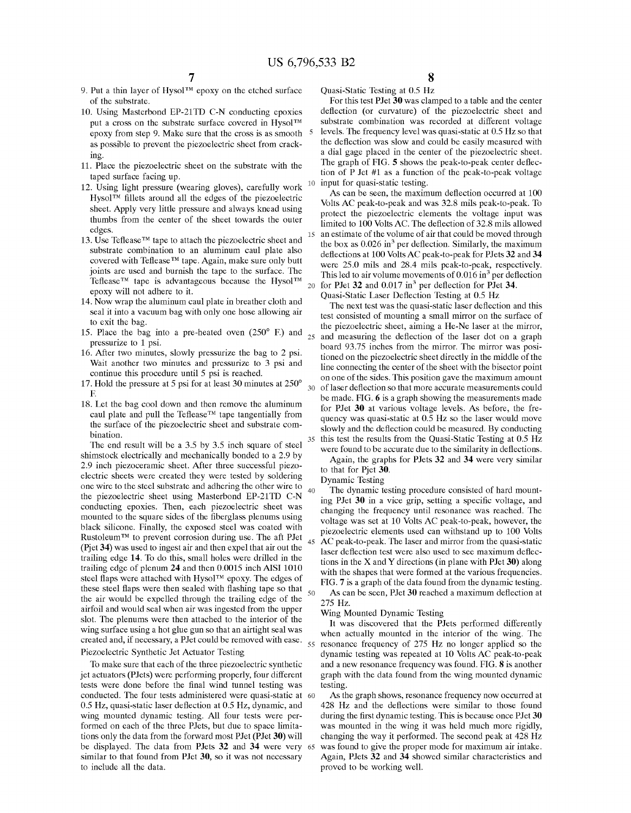10

15

20

30

35

40

45

- 9. Put a thin layer of Hysol<sup>TM</sup> epoxy on the etched surface of the substrate.
- 10. Using Masterbond EP-21TD C-N conducting epoxies put a cross on the substrate surface covered in Hysol<sup>TM</sup> epoxy from step 9. Make sure that the cross is as smooth as possible to prevent the piezoelectric sheet from crack mg.
- 11. Place the pieZoelectric sheet on the substrate With the taped surface facing up.
- 12. Using light pressure (Wearing gloves), carefully Work Hysol $TM$  fillets around all the edges of the piezoelectric sheet. Apply very little pressure and always knead using thumbs from the center of the sheet toWards the outer edges.
- 13. Use Teflease<sup>TM</sup> tape to attach the piezoelectric sheet and substrate combination to an aluminum caul plate also covered with Teflease<sup>™</sup> tape. Again, make sure only butt joints are used and burnish the tape to the surface. The Teflease<sup>TM</sup> tape is advantageous because the Hysol<sup>TM</sup> epoXy Will not adhere to it.
- 14. NoW Wrap the aluminum caul plate in breather cloth and seal it into a vacuum bag With only one hose alloWing air to exit the bag.
- 15. Place the bag into a pre-heated oven  $(250^{\circ}$  F.) and  $_{25}$ pressurize to 1 psi.
- 16. After two minutes, slowly pressurize the bag to 2 psi. Wait another two minutes and pressurize to 3 psi and continue this procedure until 5 psi is reached.
- 17. Hold the pressure at 5 psi for at least 30 minutes at 250° F.
- 18. Let the bag cool doWn and then remove the aluminum caul plate and pull the Teflease<sup>TM</sup> tape tangentially from the surface of the pieZoelectric sheet and substrate com bination.

The end result Will be a 3.5 by 3.5 inch square of steel shimstock electrically and mechanically bonded to a 2.9 by 2.9 inch pieZoceramic sheet. After three successful pieZo electric sheets Were created they Were tested by soldering one Wire to the steel substrate and adhering the other Wire to the pieZoelectric sheet using Masterbond EP-21TD C-N conducting epoXies. Then, each pieZoelectric sheet Was mounted to the square sides of the fiberglass plenums using black silicone. Finally, the exposed steel was coated with Rustoleum<sup>TM</sup> to prevent corrosion during use. The aft PJet (Pjet 34) was used to ingest air and then expel that air out the trailing edge 14. To do this, small holes Were drilled in the trailing edge of plenum 24 and then 0.0015 inch AISI 1010 steel flaps were attached with Hysol $TM$  epoxy. The edges of these steel flaps were then sealed with flashing tape so that  $\frac{50}{ }$ the air Would be eXpelled through the trailing edge of the airfoil and Would seal When air Was ingested from the upper slot. The plenums Were then attached to the interior of the Wing surface using a hot glue gun so that an airtight seal Was created and, if necessary, a PJet could be removed with ease.  $\frac{55}{ }$ Piezoelectric Synthetic Jet Actuator Testing

To make sure that each of the three pieZoelectric synthetic jet actuators (PJets) Were performing properly, four different tests were done before the final wind tunnel testing was conducted. The four tests administered Were quasi-static at 60 0.5 Hz, quasi-static laser deflection at 0.5 Hz, dynamic, and wing mounted dynamic testing. All four tests were performed on each of the three PJets, but due to space limita tions only the data from the forward most PJet (PJet 30) will be displayed. The data from PJets 32 and 34 Were very 65 similar to that found from PJet 30, so it was not necessary to include all the data.

Quasi-Static Testing at 0.5 HZ

For this test PJet 30 Was clamped to a table and the center deflection (or curvature) of the piezoelectric sheet and substrate combination Was recorded at different voltage levels. The frequency level was quasi-static at 0.5 Hz so that the deflection was slow and could be easily measured with a dial gage placed in the center of the pieZoelectric sheet. The graph of FIG. 5 shows the peak-to-peak center deflection of P Jet #1 as a function of the peak-to-peak voltage input for quasi-static testing.

As can be seen, the maximum deflection occurred at 100 Volts AC peak-to-peak and Was 32.8 mils peak-to-peak. To protect the pieZoelectric elements the voltage input Was limited to 100 Volts AC. The deflection of 32.8 mils allowed an estimate of the volume of air that could be moved through the box as  $0.026$  in<sup>3</sup> per deflection. Similarly, the maximum deflections at 100 Volts AC peak-to-peak for PJets 32 and 34 Were 25.0 mils and 28.4 mils peak-to-peak, respectively. This led to air volume movements of  $0.016$  in<sup>3</sup> per deflection for PJet 32 and  $0.017$  in<sup>3</sup> per deflection for PJet 34.

Quasi-Static Laser Deflection Testing at 0.5 Hz

The next test was the quasi-static laser deflection and this test consisted of mounting a small mirror on the surface of the pieZoelectric sheet, aiming a He-Ne laser at the mirror, and measuring the deflection of the laser dot on a graph board 93.75 inches from the mirror. The mirror Was posi tioned on the pieZoelectric sheet directly in the middle of the line connecting the center of the sheet With the bisector point on one of the sides. This position gave the maximum amount of laser deflection so that more accurate measurements could be made. FIG. 6 is a graph showing the measurements made for PJet 30 at various voltage levels. As before, the fre quency was quasi-static at 0.5 Hz so the laser would move slowly and the deflection could be measured. By conducting this test the results from the Quasi-Static Testing at 0.5 HZ were found to be accurate due to the similarity in deflections.

Again, the graphs for PJets 32 and 34 Were very similar to that for Pjet 30.

Dynamic Testing

The dynamic testing procedure consisted of hard mount ing PJet 30 in a vice grip, setting a specific voltage, and changing the frequency until resonance Was reached. The voltage Was set at 10 Volts AC peak-to-peak, hoWever, the pieZoelectric elements used can Withstand up to 100 Volts AC peak-to-peak. The laser and mirror from the quasi-static laser deflection test were also used to see maximum deflections in the X and Y directions (in plane With PJet 30) along with the shapes that were formed at the various frequencies. FIG. 7 is a graph of the data found from the dynamic testing. As can be seen, PJet 30 reached a maximum deflection at 275 HZ.

Wing Mounted Dynamic Testing

It Was discovered that the PJets performed differently when actually mounted in the interior of the wing. The resonance frequency of 275 HZ no longer applied so the dynamic testing Was repeated at 10 Volts AC peak-to-peak and a new resonance frequency was found. FIG. 8 is another graph With the data found from the Wing mounted dynamic testing.

As the graph shows, resonance frequency now occurred at 428 Hz and the deflections were similar to those found during the first dynamic testing. This is because once PJet 30 Was mounted in the Wing it Was held much more rigidly, changing the Way it performed. The second peak at 428 HZ was found to give the proper mode for maximum air intake. Again, PJets 32 and 34 showed similar characteristics and proved to be Working Well.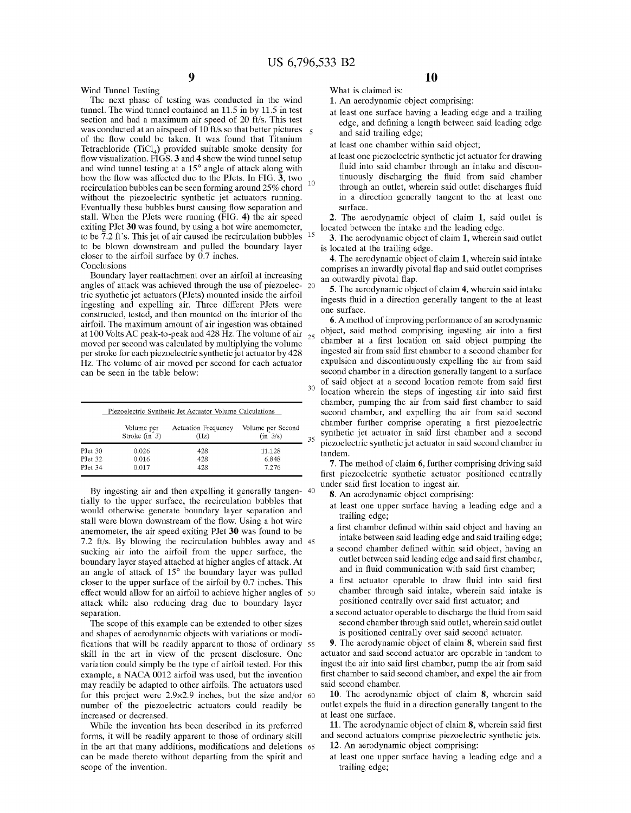10

 $\leq$ 

30

35

Wind Tunnel Testing

#### The next phase of testing Was conducted in the Wind tunnel. The Wind tunnel contained an 11.5 in by 11.5 in test section and had a maximum air speed of 20 ft/s. This test was conducted at an airspeed of 10 ft/s so that better pictures of the flow could be taken. It was found that Titanium Tetrachloride (TiCl<sub>4</sub>) provided suitable smoke density for flow visualization. FIGS. 3 and 4 show the wind tunnel setup and Wind tunnel testing at a 15° angle of attack along With how the flow was affected due to the PJets. In FIG. 3, two recirculation bubbles can be seen forming around 25% chord without the piezoelectric synthetic jet actuators running. Eventually these bubbles burst causing flow separation and stall. When the PJets Were running (FIG. 4) the air speed exiting PJet 30 Was found, by using a hot Wire anemometer, to be 7.2 ft's. This jet of air caused the recirculation bubbles  $15$ to be bloWn doWnstream and pulled the boundary layer closer to the airfoil surface by  $0.7$  inches. Conclusions

Boundary layer reattachment over an airfoil at increasing angles of attack was achieved through the use of piezoelec- 20 tric synthetic jet actuators (PJets) mounted inside the airfoil ingesting and expelling air. Three different PJets Were constructed, tested, and then mounted on the interior of the airfoil. The maximum amount of air ingestion Was obtained at 100 Volts AC peak-to-peak and 428 Hz. The volume of air  $_{25}$ moved per second Was calculated by multiplying the volume per stroke for each pieZoelectric synthetic jet actuator by 428 HZ. The volume of air moved per second for each actuator can be seen in the table beloW:

|         | Piezoelectric Synthetic Jet Actuator Volume Calculations |                     |                    |  |  |  |
|---------|----------------------------------------------------------|---------------------|--------------------|--|--|--|
|         | Volume per                                               | Actuation Frequency | Volume per Second  |  |  |  |
|         | Stroke $(in 3)$                                          | (Hz)                | $(in \frac{3}{s})$ |  |  |  |
| PJet 30 | 0.026                                                    | 428                 | 11.128             |  |  |  |
| PJet 32 | 0.016                                                    | 428                 | 6.848              |  |  |  |
| PJet 34 | 0.017                                                    | 428                 | 7.276              |  |  |  |

By ingesting air and then expelling it generally tangen- 40 tially to the upper surface, the recirculation bubbles that would otherwise generate boundary layer separation and stall were blown downstream of the flow. Using a hot wire anemometer, the air speed exiting PJet 30 Was found to be 7.2 ft/s. By bloWing the recirculation bubbles aWay and 45 sucking air into the airfoil from the upper surface, the boundary layer stayed attached at higher angles of attack. At an angle of attack of 15° the boundary layer was pulled closer to the upper surface of the airfoil by 0.7 inches. This effect Would alloW for an airfoil to achieve higher angles of 50 attack While also reducing drag due to boundary layer separation.

The scope of this example can be extended to other sizes and shapes of aerodynamic objects With variations or modi fications that will be readily apparent to those of ordinary 55 skill in the art in vieW of the present disclosure. One variation could simply be the type of airfoil tested. For this example, a NACA 0012 airfoil Was used, but the invention may readily be adapted to other airfoils. The actuators used for this project were 2.9×2.9 inches, but the size and/or 60 number of the pieZoelectric actuators could readily be increased or decreased.

While the invention has been described in its preferred forms, it Will be readily apparent to those of ordinary skill in the art that many additions, modifications and deletions 65 can be made thereto Without departing from the spirit and scope of the invention.

What is claimed is:

1. An aerodynamic object comprising:

at least one surface having a leading edge and a trailing edge, and defining a length between said leading edge and said trailing edge;

10

- at least one chamber Within said object;
- at least one pieZoelectric synthetic jet actuator for draWing fluid into said chamber through an intake and discontinuously discharging the fluid from said chamber through an outlet, wherein said outlet discharges fluid in a direction generally tangent to the at least one surface.

2. The aerodynamic object of claim 1, said outlet is located between the intake and the leading edge.

3. The aerodynamic object of claim 1, Wherein said outlet is located at the trailing edge.

4. The aerodynamic object of claim 1, Wherein said intake comprises an inwardly pivotal flap and said outlet comprises an outwardly pivotal flap.

5. The aerodynamic object of claim 4, Wherein said intake ingests fluid in a direction generally tangent to the at least one surface.

6. Amethod of improving performance of an aerodynamic object, said method comprising ingesting air into a first chamber at a first location on said object pumping the ingested air from said first chamber to a second chamber for expulsion and discontinuously expelling the air from said second chamber in a direction generally tangent to a surface of said object at a second location remote from said first location wherein the steps of ingesting air into said first chamber, pumping the air from said first chamber to said second chamber, and expelling the air from said second chamber further comprise operating a first piezoelectric synthetic jet actuator in said first chamber and a second pieZoelectric synthetic jet actuator in said second chamber in tandem.

7. The method of claim 6, further comprising driving said first piezoelectric synthetic actuator positioned centrally under said first location to ingest air.

- 8. An aerodynamic object comprising:
- at least one upper surface having a leading edge and a trailing edge;<br>a first chamber defined within said object and having an
- intake between said leading edge and said trailing edge;
- a second chamber defined within said object, having an outlet between said leading edge and said first chamber, and in fluid communication with said first chamber;
- a first actuator operable to draw fluid into said first chamber through said intake, Wherein said intake is positioned centrally over said first actuator; and
- a second actuator operable to discharge the fluid from said second chamber through said outlet, Wherein said outlet is positioned centrally over said second actuator.

9. The aerodynamic object of claim  $8$ , wherein said first actuator and said second actuator are operable in tandem to ingest the air into said first chamber, pump the air from said first chamber to said second chamber, and expel the air from said second chamber.

10. The aerodynamic object of claim 8, Wherein said outlet expels the fluid in a direction generally tangent to the at least one surface.

11. The aerodynamic object of claim  $8$ , wherein said first and second actuators comprise pieZoelectric synthetic jets. 12. An aerodynamic object comprising:

at least one upper surface having a leading edge and a trailing edge;